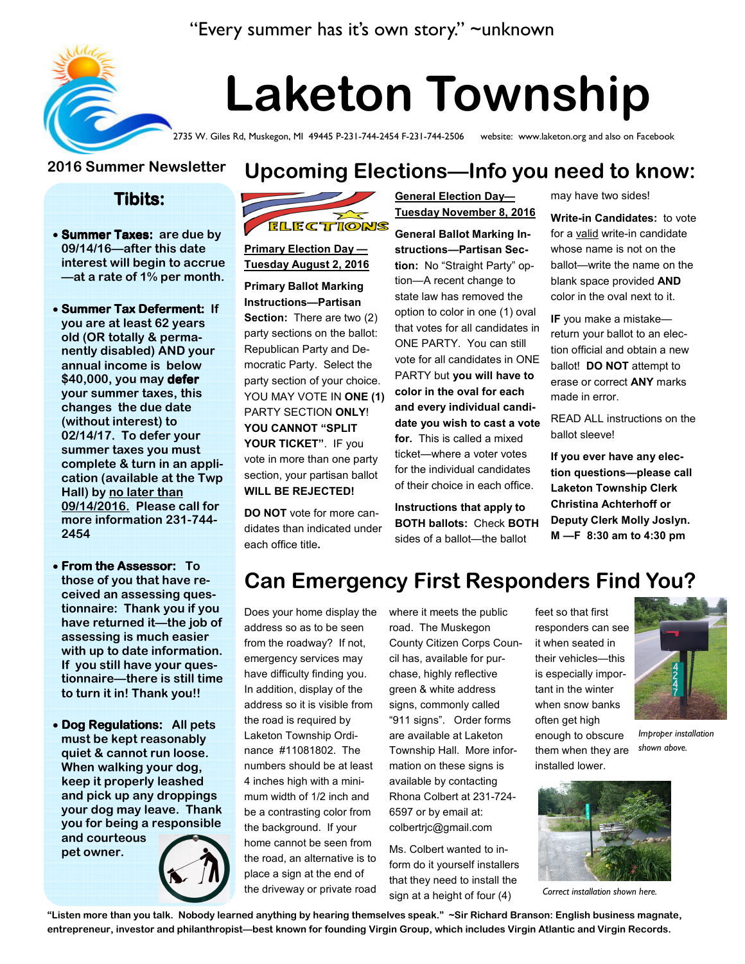### "Every summer has it's own story." ~unknown



# Laketon Township

2735 W. Giles Rd, Muskegon, MI 49445 P-231-744-2454 F-231-744-2506 website: www.laketon.org and also on Facebook

#### 2016 Summer Newsletter

#### Tibits:

- Summer Taxes: are due by 09/14/16—after this date interest will begin to accrue —at a rate of 1% per month.
- Summer Tax Deferment: If you are at least 62 years old (OR totally & permanently disabled) AND your annual income is below \$40,000, you may defer your summer taxes, this changes the due date (without interest) to 02/14/17. To defer your summer taxes you must complete & turn in an application (available at the Twp Hall) by no later than 09/14/2016. Please call for more information 231-744- 2454
- $\bullet$  From the Assessor: To those of you that have received an assessing questionnaire: Thank you if you have returned it—the job of assessing is much easier with up to date information. If you still have your questionnaire—there is still time to turn it in! Thank you!!
- Dog Regulations: All pets must be kept reasonably quiet & cannot run loose. When walking your dog, keep it properly leashed and pick up any droppings your dog may leave. Thank you for being a responsible and courteous pet owner.



Primary Election Day — Tuesday August 2, 2016

Primary Ballot Marking Instructions—Partisan Section: There are two (2) party sections on the ballot: Republican Party and Democratic Party. Select the party section of your choice. YOU MAY VOTE IN ONE (1) PARTY SECTION ONLY! YOU CANNOT "SPLIT YOUR TICKET". IF you vote in more than one party section, your partisan ballot WILL BE REJECTED!

DO NOT vote for more candidates than indicated under each office title.

General Election Day— Tuesday November 8, 2016

General Ballot Marking Instructions—Partisan Section: No "Straight Party" option—A recent change to state law has removed the option to color in one (1) oval that votes for all candidates in ONE PARTY. You can still vote for all candidates in ONE PARTY but you will have to color in the oval for each and every individual candidate you wish to cast a vote for. This is called a mixed ticket—where a voter votes for the individual candidates of their choice in each office.

Instructions that apply to BOTH ballots: Check BOTH sides of a ballot—the ballot

may have two sides!

Write-in Candidates: to vote for a valid write-in candidate whose name is not on the ballot—write the name on the blank space provided AND color in the oval next to it.

IF you make a mistake return your ballot to an election official and obtain a new ballot! DO NOT attempt to erase or correct **ANY** marks made in error.

READ ALL instructions on the ballot sleeve!

If you ever have any election questions—please call Laketon Township Clerk Christina Achterhoff or Deputy Clerk Molly Joslyn. M —F 8:30 am to 4:30 pm

# Can Emergency First Responders Find You?

Does your home display the address so as to be seen from the roadway? If not, emergency services may have difficulty finding you. In addition, display of the address so it is visible from the road is required by Laketon Township Ordinance #11081802. The numbers should be at least 4 inches high with a minimum width of 1/2 inch and be a contrasting color from the background. If your home cannot be seen from the road, an alternative is to place a sign at the end of the driveway or private road

where it meets the public road. The Muskegon County Citizen Corps Council has, available for purchase, highly reflective green & white address signs, commonly called "911 signs". Order forms are available at Laketon Township Hall. More information on these signs is available by contacting Rhona Colbert at 231-724- 6597 or by email at: colbertrjc@gmail.com

Ms. Colbert wanted to inform do it yourself installers that they need to install the

feet so that first responders can see it when seated in their vehicles—this is especially important in the winter when snow banks enough to obscure



Improper installation shown above.



Correct installation shown here.

often get high them when they are installed lower.

sign at a height of four (4) "Listen more than you talk. Nobody learned anything by hearing themselves speak." ~Sir Richard Branson: English business magnate, entrepreneur, investor and philanthropist—best known for founding Virgin Group, which includes Virgin Atlantic and Virgin Records.